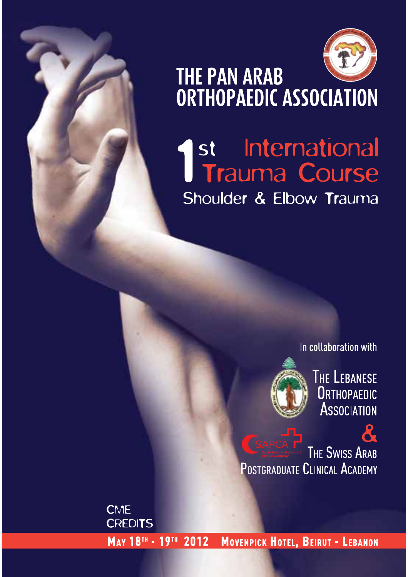

# THE PAN ARAB<br>ORTHOPAEDIC ASSOCIATION

### St International<br>Trauma Course Shoulder & Elbow Trauma

In collaboration with



**THE LEBANESE ORTHOPAEDIC ASSOCIATION** 

**THE SWISS ARAB** POSTGRADUATE CLINICAL ACADEMY

**CME CREDITS** МАҮ 18™ - 19™ 2012 MOVENPICK HOTEL, BEIRUT - LEBANON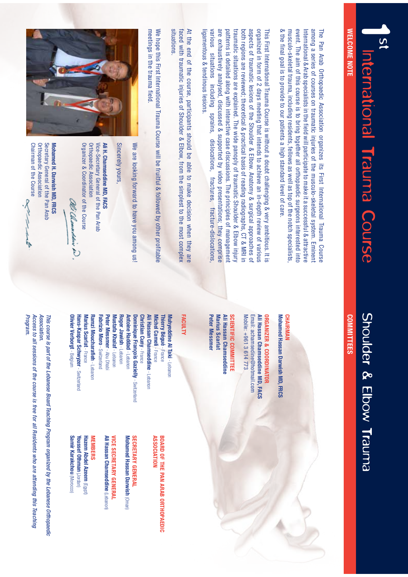<u>(၂</u> International Trauma Course

#### **WELCOME NOTE WELCOME NOTE**

# Shoulder & Elbow Trauma

#### **COMMITTEES COMMITTEES**

& the final goal is to provide to our patients a high standard level of care musculo-skeletal trauma, including residents, fellows as well as top of the notch specialists event. The aim of this course is to bring together all orthopaedic surgeons interested into International & Arab specialists in the field will participate to make it a successful & attractive among a series of courses on traumatic injuries of the musculo-skeletal system. Eminent The Pan Arab Orthopaedic Association organizes its First International Trauma Course & the final goal is to provide to our patients a high standard level of care. musculo-skeletal trauma, including residents, fellows as well as top of the notch specialists, event. The aim of this course is to bring together all orthopaedic surgeons interested into International & Arab specialists in the field will participate to make it a successful & attractive among a series of courses on traumatic injuries of the musculo-skeletal system. Eminent The Pan Arab Orthopaedic Association organizes its First International Trauma Course

are exhaustively analysed, discussed & supported by video presentations; they comprise patterns is detailed along with interactive case discussions. The principles of management both regions are reviewed; theoretical & practical basis of reading radiographs, CT & MRI in aspects of traumatic lesions of the Shoulder & Elbow. Anatomy & surgical approaches of organized in form of 2 days meeting that intends to achieve an in-depth review of various ligamentous & tendinous lesions various situations including sprains, dislocations, fractures, fracture-dislocations traumatic situations are explained. The wide panoply of traumatic Shoulder & Elbow injury This First International Trauma Course is without a doubt challenging & very ambitious. It is ligamentous & tendinous lesions. various situations including sprains, dislocations, fractures, fracture-dislocations, are exhaustively analysed, discussed & supported by video presentations; they comprise patterns is detailed along with interactive case discussions. The principles of management traumatic situations are explained. The wide panoply of traumatic Shoulder & Elbow injury both regions are reviewed; theoretical & practical basis of reading radiographs, CT & MRI in aspects of traumatic lesions of the Shoulder & Elbow. Anatomy & surgical approaches of organized in form of 2 days meeting that intends to achieve an in-depth review of various This First International Trauma Course is without a doubt challenging & very ambitious. It is

situations. At the end of the course, participants should be able to make decision when they are faced with traumatic injuries of Shoulder & Elbow, from the simplest to the most complex situations. faced with traumatic injuries of Shoulder & Elbow, from the simplest to the most complex At the end of the course, participants should be able to make decision when they are

meetings in the trauma field We hope this First International Trauma Course will be fruitful & followed by other profitable meetings in the trauma field. We hope this First International Trauma Course will be functional Trauma Course profits  $\frac{1}{2}$ 



We are looking forward to have you among us! We are looking forward to have you among us!

Sincerely yours, Sincerely yours,

Organizer & Coordinator of the Course **Urthopaedic Association** Vice-Secretary General of the Pan Arab Ali H. Chamseddine MD, FACS Organizer & Coordinator of the Course Orthopaedic Association Vice-Secretary General of the Pan Arab **Ali H. Chamseddine MD, FACS**

D. Channeldin i

Chairman of the Course Orthopaedic Association Secretary General of the Pan Arab Mohamed H. Darwish MD, FRCS Chairman of the Course Orthopaedic Association Secretary General of the Pan Arab **Mohamed H. Darwish MD, FRCS**

#### **CHAIRMAN CHAIRMAN**

Mohamed Hassan Darwish MD, FRCS **Mohamed Hassan Darwish MD, FRCS**

Mobile: +961 3614773 Mobile: +961 3 614 773 Email: achamsedine@hotmail.com Email: achamsedine@hotmail.com Ali Hassan Chamseddine MD, FACS **Ali Hassan Chamseddine MD, FACS ORGANIZER & COORDINATOR ORGANIZER & COORDINATOR**

Ali Hassan Chamseddine **SCIENTIFIC COMMITTEE Peter Messmer Peter Messmer** Marius Scarlat **Marius Scarlat Ali Hassan Chamseddine CIENTIFIC COMMITTEE**

#### **F ACULTY**

**Olivier Verborgt** - Belgium Fabrizio Moro - Switzerland Peter Messmer - Abu Dhab Roger Jawish - Lebanon **Dominique François Gazielly - Switzerland Michel Cameli** - France **Olivier Verborgt** - Belgium **Hans-Kaspar Schwyzer** - Switzerland Marius Scarlat - France **Marius Scarlat** - France Ramzi Moucharafieh - Lebanon **Ramzi MoucharafiehFabrizio MoroPeter Messmer - Abu Dhabi Mustafa Khalaf** - Lebanon **Roger Jawish**Antoine Haddad - Lebanor **Antoine HaddadDominique François Gazielly** - Switzerland **Christian Cuny** - France **Christian Cuny** - France Ali Hassan Chamseddine - Lebanon **Ali Hassan ChamseddineMichel Cameli**Thierry Begue - France **Thierry Bégué**Muhyeddine Al Taki - Lebanon **Muhyeddine Al Taki**Hans-Kaspar Schwyzer - Switzerland Mustafa Khalaf - Lebanon - Switzerland - Lebanon - Lebanon - Lebanon - Lebanon - Lebanon

> BOARD OF THE PAN ARAB ORTHOPAEDIC **ASSOCIATION ASSOCIATION OF THE PAN ARAB ORTHOPAEDIC**

**SECRETARY GENERAL SECRETARY GENERAL**

**Mohamed Hassan Darwish** Mohamed Hassan Darwish (Oman)

**Ali Hassan Chamseddine VICE SECRETARY GENERAL VICE SECRETARY GENERAL** Ali Hassan Chamseddine (Lebanon)

**Youssef OthmanHazem Abdel Azeem** (Egypt) Youssef Othman (Jordan) **Hazem Abdel Azeem MEMBERS MEMBERS**

**Samir Karakchou Samir Karakchou** (Morocco)

**ASSOCIATION** *Association.* This course is part of the Lebanese Board Teaching Program organized by the Lebanese Orthopaedic *This course is part of the Lebanese Board Teaching Program organized by the Lebanese Orthopaedic* 

*Program.* Access to all sessions of the course is free for all Residents who are attending this Teaching *Access to all sessions of the course is free for all Residents who are attending this Teaching*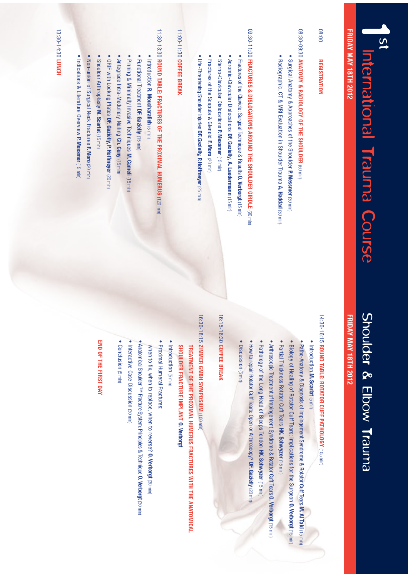# Shoulder & Elbow Trauma

### **FRIDAY MAY 18TH 2012 FRIDAY MAY 18TH 2012**

# 14:30-16:15 **ROUND TABLE: ROTATOR CUFF PATHOLOGY** 14:30-16:15 ROUND TABLE: ROTATOR CUFF PATHOLOGY (105 min)

08:00

**REGISTRATION**

**REGISTRATION** 

**FRIDAY MAY 18TH 2012**

International Trauma Course

 $\overline{S}$ 

**FRIDAY MAY 18TH 2012** 

 t **Introduction M. Scarlat** (5 min)

t

- Patho-Anatomy & Diagnosis  $\mathsf{P}$ Impingement Syndrome & Rotator ር<br>⊑ Tears **M. Al Taki** (15 min)
- Biology  $\mathsf{P}$ Healing  $\vec{\mathsf{d}}$ Rotator Cuff Tears: Implications Egr UIF Surgeon  **O. Verborgt** (15 min)
- Partial Thickness **Rotator** Cuff Tears **HK. Schwyzer** (15 min)
- $\bullet$ Arthroscopic **Treatment** ຊ Impingement Syndrome & Rotator Cuff Tears **O. Verborgt** (15 min)
- · Pathology  $\equiv$ UIF -POH Head  $\equiv$ **Biceps** Tendon **HK. Schwyzer** (15 min)
- $\bullet$  How ta repair Rotator Cu Tears: Open ఇ Arthroscopy? **DF. Gazielly** (20 min)
- t Discussion (5 min)

#### 16:15-16:30 COFFEE BREAK 16:15-16:30 **COFFEE BREAK**

## 16:30-18:15 **ZIMMER GMBH SYMPOSIUM** 16:30-18:15 ZIMMER GMBH SYMPOSIUM (100 min)

#### **TREATMENT OF THE PROXIMAL HUMERUS FRACTURES WITH THE ANATOMICAL SHOULDER FRACTURE IMPLANT** SHOULDER FRACTURE IMPLANT O. Verborgt

- $\bullet$ **Introduction** (5 min)
- Proximal Humeral Fractures:
- when ಕ EX, when ಕ replace, when ಕ reverse? **O. Verborgt** (30 min)
- t Anatomical **Shoulder**  $\overline{z}$ Fracture System: Principles & Technique **O. Verborgt** (30 min)
- t Interactive Case Discussion (30 min)
- Conclusion (5 min)

t

#### **END OF THE FIRST DAY**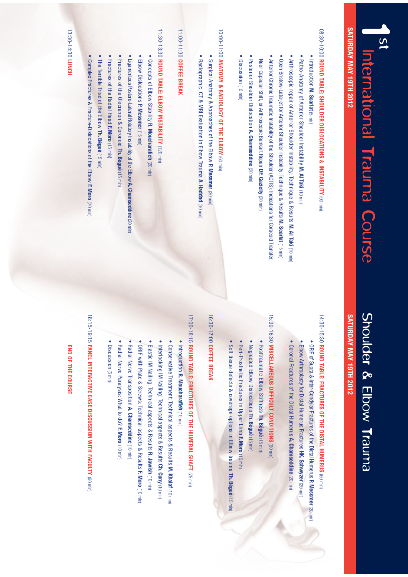| $\overline{a}$<br>International Trauma Course                                                              | Shoulder & Elbow Trauma                                                                                                                      |
|------------------------------------------------------------------------------------------------------------|----------------------------------------------------------------------------------------------------------------------------------------------|
| <b>SATURDAY MAY 19TH 2012</b>                                                                              | <b>SATURDAY MAY 19TH 2012</b>                                                                                                                |
|                                                                                                            |                                                                                                                                              |
| 08:30-10:00 ROUND TABLE: SHOULDER DISLOCATIONS & INSTABILITY (90 min)<br>· Introduction M. Scarlat (5 min) | 14:30-15:30 ROUND TABLE: FRACTURES OF THE DISTAL HUMERUS (60 min)<br>. ORIF of Supra & Inter-Condylar Fractures of the Distal Humerus P. Mes |
| • Patho-Anatomy of Anterior Shoulder Instability M. Al Taki (10 min)                                       | Elbow Arthroplasty for Distal Humerus Fractures HK. Schwyzer (20 m                                                                           |
| . Arthroscopic repair of Anterior Shoulder Instability: Technique & Results M. Al Taki (10 min)            | • Coronal Fractures of the Distal Humerus A. Chamseddine (20 min)                                                                            |
| • Open Bristow-Latarjet for Anterior Shoulder Instability: Technique & Results M. Scarlat (15 min)         |                                                                                                                                              |
| . Anterior Chronic Traumatic Instability of the Shoulder (ACTIS): Indications for Coracoid Transfer,       | 15:30-16:30 MISCELLANEOUS DIFFICULT CONDITIONS (60 min)                                                                                      |
| Neer Capsular Shift, or Arthroscopic Bankart Repair DF. Gazielly (20 min)                                  | • Posttraumatic Elbow Stiffness Th. Bégué (15 min)                                                                                           |
| Posterior Shoulder Dislocation A. Chamseddine (20 min)                                                     | . Neglected Elbow Dislocations Th. Bégué (15 min)                                                                                            |
| • Discussion (10 min)                                                                                      | • Peri-Prosthetic Fractures in Upper Limb F. Moro (15 min)                                                                                   |
|                                                                                                            | Soft tissue defects & coverage options in Elbow trauma Th. Bégu                                                                              |
| 10:00-11:00 ANATOMY & RADIOLOGY OF THE ELBOW (60 min)                                                      |                                                                                                                                              |
| • Surgical Anatomy & Approaches of the Elbow P. Messmer (30 min)                                           | 16:30-17:00 COFFEE BREAK                                                                                                                     |
| ۰<br>Radiographic, CT & MRI Evaluation in Elbow Trauma A. Haddad (30 min)                                  |                                                                                                                                              |
|                                                                                                            | 17:00-18:15 ROUND TABLE: FRACTURES OF THE HUMERAL SHAFT (75 min)                                                                             |
| 11:00-11:30 COFFEE BREAK                                                                                   | · Introduction R. Moucharafieh (10 min)                                                                                                      |
|                                                                                                            | • Conservative Treatment: Technical aspects & Results M. Khalaf (1                                                                           |
| 11:30-13:30 ROUND TABLE: ELBOW INSTABILITY (120 min)                                                       | . Interlocking IM Nailing: Technical aspects & Results Ch. Cuny (10                                                                          |
| • Concepts of Elbow Stability R. Moucharafieh (20 min)                                                     | • Elastic IM Nailing: Technical aspects & Results R. Jawish (10 min)                                                                         |
| • Elbow Dislocations P. Messmer (15 min)                                                                   | . ORIF with Plate & Screws: Technical aspects & Results F. Moro (1                                                                           |
| . Ligamentous Postero-Lateral Rotatory Instability of the Elbow A. Chamseddine (20 min)                    | Radial Nerve Transposition A. Chamseddine (10 min)                                                                                           |
| • Fractures of the Olecranon & Coronoid Th. Bégué (15 min)                                                 | Radial Nerve Paralysis: What to do? F. Moro (10 min)                                                                                         |
| • Fractures of the Radial Head F. Moro (15 min)                                                            | $\bullet$<br>Discussion (5 min)                                                                                                              |
| The Terrible Triad of the Elbow Th. Bégué (15 min)                                                         |                                                                                                                                              |
| Complex Fractures & Fracture-Dislocations of the Elbow F. Moro (20 min)                                    | 18:15-19:15 PANEL INTERACTIVE CASE DISCUSSION WITH FACULTY (60 min)                                                                          |
|                                                                                                            | END OF THE COURSE                                                                                                                            |
| 13:30-14:30 LUNCH                                                                                          |                                                                                                                                              |

# & Elbow Trauma

## **SATURDAY MAY 19TH 2012** TH 2012

## **ROUND TABLE: FRACTURES OF THE DISTAL HUMERUS** (60 min)

Supra & Inter-Condylar Fractures of the Distal Humerus **P. Messmer**

(20 min)

- Arthroplasty ä Distal Humerus Fractures **HK. Schwyzer** (20 min)
- Fractures  $\mathsf{q}$ the Distal Humerus **A. Chamseddine**(20 min)

### **MISCELLANEOUS DIFFICULT CONDITIONS**NEOUS DIFFICULT CONDITIONS (60 min)

- Postrraumatic Elbow Stiffness **Th. Bégué** (15 min)
- Elbow Dislocations  **Th. Bégué**(15 min)
- Peri-Prosthetic Fractures  $\Xi$ . **Opper** Limb  **F. Moro** (15 min)
- defects & coverage ontions  $\Xi^{\cdot}$ Elbow trauma **Th. Bégué**(15 min)

#### **COFFEE BREAK REAK**

# **ROUND TABLE: FRACTURES OF THE HUMERAL SHAFT** (75 min)

- **Introduction R. Moucharafieh** n R. Moucharafieh (10 min)
- Conservative **Treatment:** Technical aspects & Results **M. Khalaf** (10 min)
- \*. Nailing: Technical aspects & Results  **Ch. Cuny** (10 min)
- 
- Nailing: Technical aspects & Results **R. Jawish** (10 min)
- Plate & Screws: Technical
- aspects & Results **F. Moro** (10 min)
- Nerve Transposition **A. Chamseddine** (10 min)
- 
- Nerve Paralysis: What ಕ ີ<br>ວິ

- 
- 
- 
- 
- 
- 
- (5 min)
- 
- 
- 
- 
- 
-